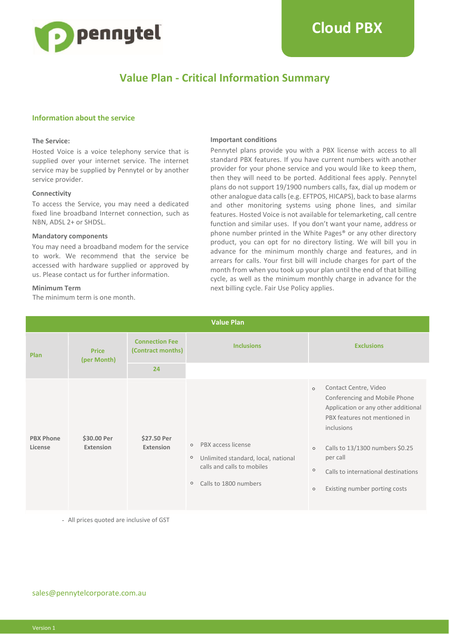

## **Value Plan - Critical Information Summary**

#### **Information about the service**

#### **The Service:**

Hosted Voice is a voice telephony service that is supplied over your internet service. The internet service may be supplied by Pennytel or by another service provider.

#### **Connectivity**

To access the Service, you may need a dedicated fixed line broadband Internet connection, such as NBN, ADSL 2+ or SHDSL.

#### **Mandatory components**

You may need a broadband modem for the service to work. We recommend that the service be accessed with hardware supplied or approved by us. Please contact us for further information.

#### **Minimum Term**

The minimum term is one month.

#### **Important conditions**

Pennytel plans provide you with a PBX license with access to all standard PBX features. If you have current numbers with another provider for your phone service and you would like to keep them, then they will need to be ported. Additional fees apply. Pennytel plans do not support 19/1900 numbers calls, fax, dial up modem or other analogue data calls (e.g. EFTPOS, HICAPS), back to base alarms and other monitoring systems using phone lines, and similar features. Hosted Voice is not available for telemarketing, call centre function and similar uses. If you don't want your name, address or phone number printed in the White Pages® or any other directory product, you can opt for no directory listing. We will bill you in advance for the minimum monthly charge and features, and in arrears for calls. Your first bill will include charges for part of the month from when you took up your plan until the end of that billing cycle, as well as the minimum monthly charge in advance for the next billing cycle. Fair Use Policy applies.

| <b>Value Plan</b>           |                             |                                            |                                                                                                                                                   |                                                                                                                                                                                                                                                                                                                 |
|-----------------------------|-----------------------------|--------------------------------------------|---------------------------------------------------------------------------------------------------------------------------------------------------|-----------------------------------------------------------------------------------------------------------------------------------------------------------------------------------------------------------------------------------------------------------------------------------------------------------------|
| Plan                        | <b>Price</b><br>(per Month) | <b>Connection Fee</b><br>(Contract months) | <b>Inclusions</b>                                                                                                                                 | <b>Exclusions</b>                                                                                                                                                                                                                                                                                               |
|                             |                             | 24                                         |                                                                                                                                                   |                                                                                                                                                                                                                                                                                                                 |
| <b>PBX Phone</b><br>License | \$30.00 Per<br>Extension    | \$27.50 Per<br>Extension                   | PBX access license<br>$\circ$<br>$\circ$<br>Unlimited standard, local, national<br>calls and calls to mobiles<br>Calls to 1800 numbers<br>$\circ$ | Contact Centre, Video<br>$\circ$<br>Conferencing and Mobile Phone<br>Application or any other additional<br>PBX features not mentioned in<br>inclusions<br>Calls to 13/1300 numbers \$0.25<br>$\circ$<br>per call<br>$\circ$<br>Calls to international destinations<br>Existing number porting costs<br>$\circ$ |

- All prices quoted are inclusive of GST